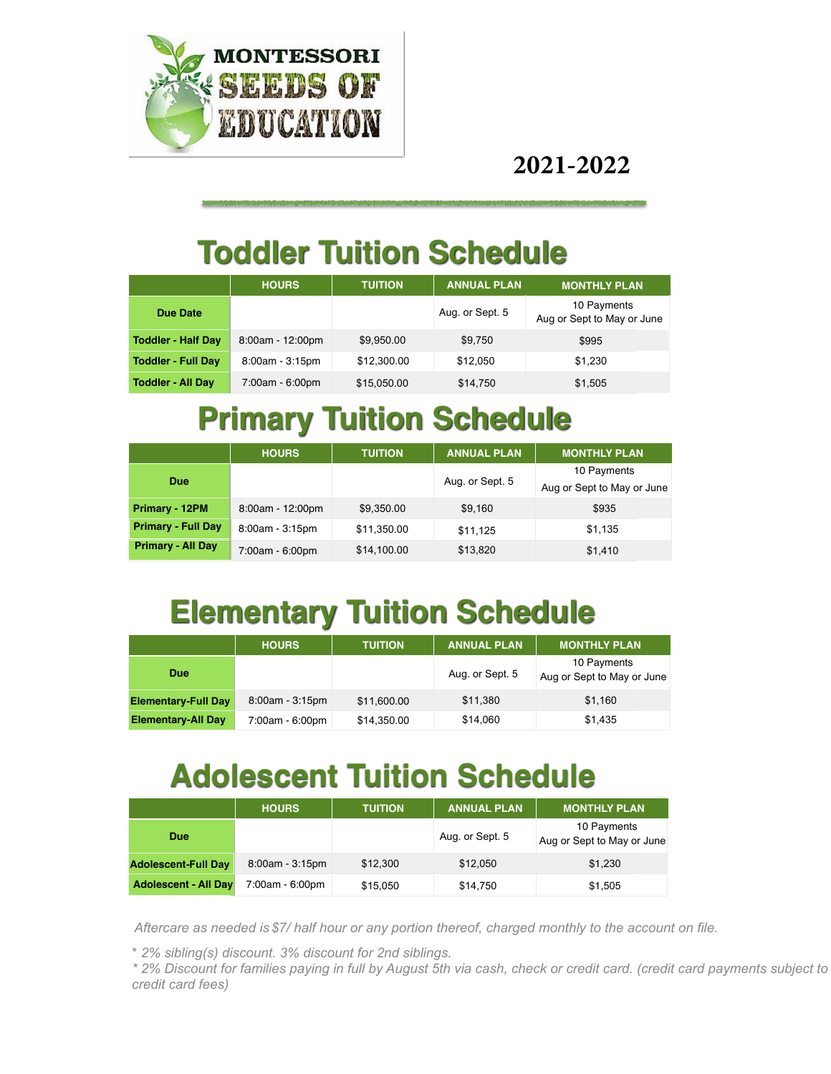

**2021-2022**

## **Toddler Tuition Schedule**

|                           | <b>HOURS</b>      | <b>TUITION</b> | <b>ANNUAL PLAN</b> | <b>MONTHLY PLAN</b>                       |
|---------------------------|-------------------|----------------|--------------------|-------------------------------------------|
| Due Date                  |                   |                | Aug. or Sept. 5    | 10 Payments<br>Aug or Sept to May or June |
| <b>Toddler - Half Day</b> | 8:00am - 12:00pm  | \$9,950.00     | \$9,750            | \$995                                     |
| <b>Toddler - Full Day</b> | $8:00am - 3:15pm$ | \$12,300.00    | \$12,050           | \$1,230                                   |
| <b>Toddler - All Day</b>  | 7:00am - 6:00pm   | \$15,050.00    | \$14,750           | \$1,505                                   |

### **Primary Tuition Schedule**

|                           | <b>HOURS</b>     | <b>TUITION</b> | <b>ANNUAL PLAN</b> | <b>MONTHLY PLAN</b>        |
|---------------------------|------------------|----------------|--------------------|----------------------------|
| <b>Due</b>                |                  |                | Aug. or Sept. 5    | 10 Payments                |
|                           |                  |                |                    | Aug or Sept to May or June |
| Primary - 12PM            | 8:00am - 12:00pm | \$9,350.00     | \$9,160            | \$935                      |
| <b>Primary - Full Day</b> | 8:00am - 3:15pm  | \$11,350.00    | \$11,125           | \$1,135                    |
| <b>Primary - All Day</b>  | 7:00am - 6:00pm  | \$14,100.00    | \$13,820           | \$1,410                    |

# **Elementary Tuition Schedule**

|                            | <b>HOURS</b>      | <b>TUITION</b> | <b>ANNUAL PLAN</b> | <b>MONTHLY PLAN</b>                       |
|----------------------------|-------------------|----------------|--------------------|-------------------------------------------|
| <b>Due</b>                 |                   |                | Aug. or Sept. 5    | 10 Payments<br>Aug or Sept to May or June |
| <b>Elementary-Full Day</b> | $8:00am - 3:15pm$ | \$11,600.00    | \$11,380           | \$1,160                                   |
| <b>Elementary-All Day</b>  | 7:00am - 6:00pm   | \$14,350.00    | \$14,060           | \$1,435                                   |

## **Adolescent Tuition Schedule**

|                             | <b>HOURS</b>    | <b>TUITION</b> | <b>ANNUAL PLAN</b> | <b>MONTHLY PLAN</b>                       |
|-----------------------------|-----------------|----------------|--------------------|-------------------------------------------|
| <b>Due</b>                  |                 |                | Aug. or Sept. 5    | 10 Payments<br>Aug or Sept to May or June |
| <b>Adolescent-Full Day</b>  | 8:00am - 3:15pm | \$12,300       | \$12,050           | \$1,230                                   |
| <b>Adolescent - All Day</b> | 7:00am - 6:00pm | \$15,050       | \$14,750           | \$1,505                                   |

*Aftercare as needed is \$7/ half hour or any portion thereof, charged monthly to the account on file.*

\* *2% sibling(s) discount. 3% discount for 2nd siblings.*

*\* 2% Discount for families paying in full by August 5th via cash, check or credit card. (credit card payments subject to credit card fees)*